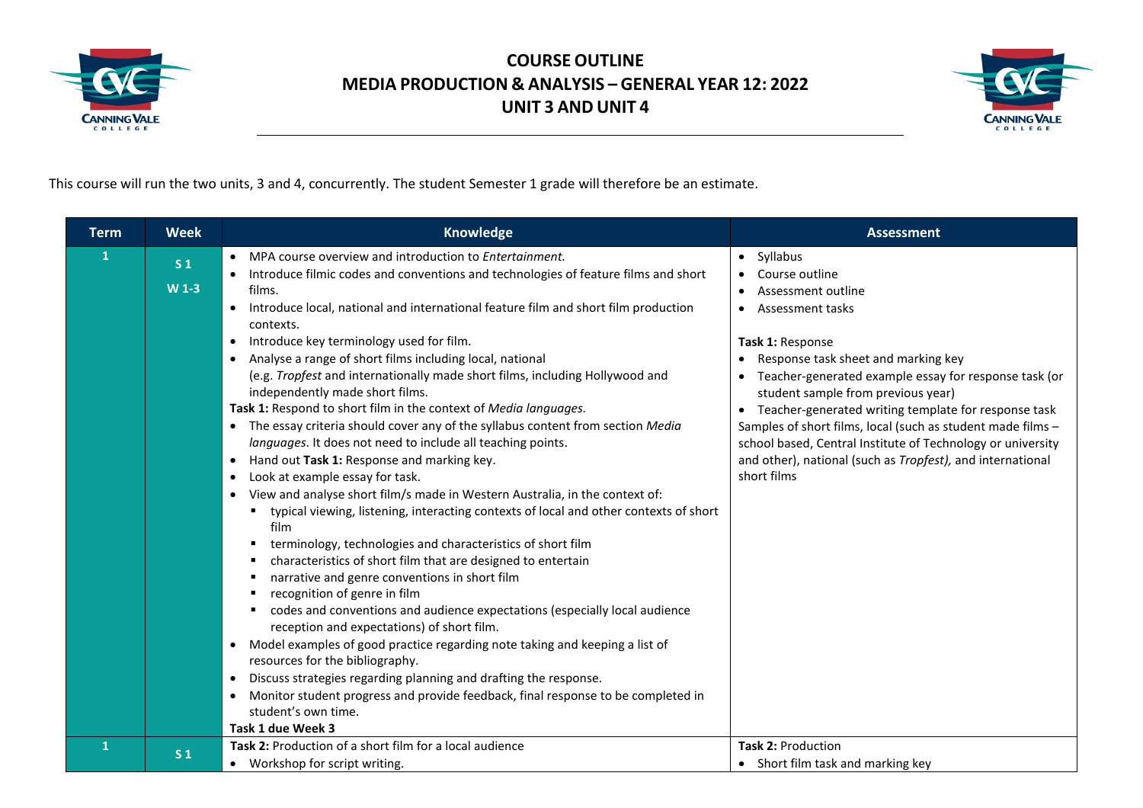



This course will run the two units, 3 and 4, concurrently. The student Semester 1 grade will therefore be an estimate.

|                                                                                                                                                                                                                                                                                                                                                                                                                                                                                                                                                                                                                                                                                                                                                                                                                                                                                                                                                                                                                                                                                                                                                                                                                                                                                                                                                                                                                                                                                                                                                                                                                                                                                                                                                                                                                                                                                         | <b>Assessment</b>                                                                                                                                                                                                                                                                                                                                                                          |
|-----------------------------------------------------------------------------------------------------------------------------------------------------------------------------------------------------------------------------------------------------------------------------------------------------------------------------------------------------------------------------------------------------------------------------------------------------------------------------------------------------------------------------------------------------------------------------------------------------------------------------------------------------------------------------------------------------------------------------------------------------------------------------------------------------------------------------------------------------------------------------------------------------------------------------------------------------------------------------------------------------------------------------------------------------------------------------------------------------------------------------------------------------------------------------------------------------------------------------------------------------------------------------------------------------------------------------------------------------------------------------------------------------------------------------------------------------------------------------------------------------------------------------------------------------------------------------------------------------------------------------------------------------------------------------------------------------------------------------------------------------------------------------------------------------------------------------------------------------------------------------------------|--------------------------------------------------------------------------------------------------------------------------------------------------------------------------------------------------------------------------------------------------------------------------------------------------------------------------------------------------------------------------------------------|
| MPA course overview and introduction to Entertainment.<br>1<br>• Syllabus<br>$\bullet$<br>S <sub>1</sub><br>Introduce filmic codes and conventions and technologies of feature films and short<br>Course outline<br>$W1-3$<br>films.<br>Assessment outline<br>Introduce local, national and international feature film and short film production<br>• Assessment tasks<br>$\bullet$<br>contexts.<br>Introduce key terminology used for film.<br>Task 1: Response<br>$\bullet$<br>Analyse a range of short films including local, national<br>(e.g. Tropfest and internationally made short films, including Hollywood and<br>independently made short films.<br>Task 1: Respond to short film in the context of Media languages.<br>The essay criteria should cover any of the syllabus content from section Media<br>languages. It does not need to include all teaching points.<br>Hand out Task 1: Response and marking key.<br>$\bullet$<br>short films<br>Look at example essay for task.<br>$\bullet$<br>View and analyse short film/s made in Western Australia, in the context of:<br>typical viewing, listening, interacting contexts of local and other contexts of short<br>film<br>terminology, technologies and characteristics of short film<br>characteristics of short film that are designed to entertain<br>narrative and genre conventions in short film<br>recognition of genre in film<br>codes and conventions and audience expectations (especially local audience<br>reception and expectations) of short film.<br>Model examples of good practice regarding note taking and keeping a list of<br>$\bullet$<br>resources for the bibliography.<br>Discuss strategies regarding planning and drafting the response.<br>$\bullet$<br>Monitor student progress and provide feedback, final response to be completed in<br>student's own time.<br>Task 1 due Week 3 | • Response task sheet and marking key<br>Teacher-generated example essay for response task (or<br>student sample from previous year)<br>• Teacher-generated writing template for response task<br>Samples of short films, local (such as student made films -<br>school based, Central Institute of Technology or university<br>and other), national (such as Tropfest), and international |
| Task 2: Production of a short film for a local audience<br><b>Task 2: Production</b><br>1<br>S <sub>1</sub><br>• Workshop for script writing.                                                                                                                                                                                                                                                                                                                                                                                                                                                                                                                                                                                                                                                                                                                                                                                                                                                                                                                                                                                                                                                                                                                                                                                                                                                                                                                                                                                                                                                                                                                                                                                                                                                                                                                                           | • Short film task and marking key                                                                                                                                                                                                                                                                                                                                                          |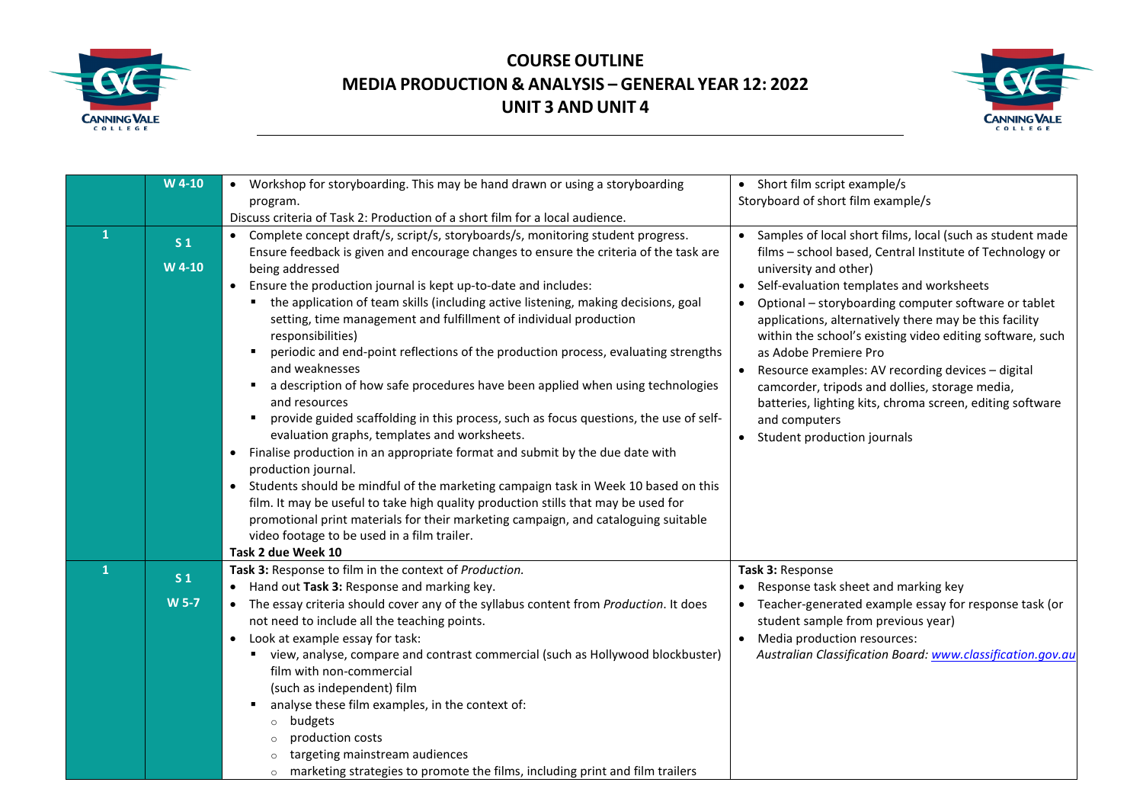



|              | W 4-10                   | Workshop for storyboarding. This may be hand drawn or using a storyboarding<br>$\bullet$<br>program.                                                                                                                                                                                                                                                                                                                                                                                                                                                                                                                                                                                                                                                                                                                                                                                                                                            | Short film script example/s<br>$\bullet$<br>Storyboard of short film example/s                                                                                                                                                                                                                                                                                                                                                                                                                                                                                                                                                      |
|--------------|--------------------------|-------------------------------------------------------------------------------------------------------------------------------------------------------------------------------------------------------------------------------------------------------------------------------------------------------------------------------------------------------------------------------------------------------------------------------------------------------------------------------------------------------------------------------------------------------------------------------------------------------------------------------------------------------------------------------------------------------------------------------------------------------------------------------------------------------------------------------------------------------------------------------------------------------------------------------------------------|-------------------------------------------------------------------------------------------------------------------------------------------------------------------------------------------------------------------------------------------------------------------------------------------------------------------------------------------------------------------------------------------------------------------------------------------------------------------------------------------------------------------------------------------------------------------------------------------------------------------------------------|
|              |                          | Discuss criteria of Task 2: Production of a short film for a local audience.                                                                                                                                                                                                                                                                                                                                                                                                                                                                                                                                                                                                                                                                                                                                                                                                                                                                    |                                                                                                                                                                                                                                                                                                                                                                                                                                                                                                                                                                                                                                     |
| $\mathbf{1}$ | S <sub>1</sub><br>W 4-10 | Complete concept draft/s, script/s, storyboards/s, monitoring student progress.<br>$\bullet$<br>Ensure feedback is given and encourage changes to ensure the criteria of the task are<br>being addressed<br>Ensure the production journal is kept up-to-date and includes:<br>$\bullet$<br>the application of team skills (including active listening, making decisions, goal<br>setting, time management and fulfillment of individual production<br>responsibilities)<br>periodic and end-point reflections of the production process, evaluating strengths<br>and weaknesses<br>a description of how safe procedures have been applied when using technologies<br>and resources<br>provide guided scaffolding in this process, such as focus questions, the use of self-<br>evaluation graphs, templates and worksheets.<br>Finalise production in an appropriate format and submit by the due date with<br>$\bullet$<br>production journal. | Samples of local short films, local (such as student made<br>films - school based, Central Institute of Technology or<br>university and other)<br>Self-evaluation templates and worksheets<br>$\bullet$<br>Optional - storyboarding computer software or tablet<br>applications, alternatively there may be this facility<br>within the school's existing video editing software, such<br>as Adobe Premiere Pro<br>Resource examples: AV recording devices - digital<br>camcorder, tripods and dollies, storage media,<br>batteries, lighting kits, chroma screen, editing software<br>and computers<br>Student production journals |
|              |                          | Students should be mindful of the marketing campaign task in Week 10 based on this<br>$\bullet$<br>film. It may be useful to take high quality production stills that may be used for<br>promotional print materials for their marketing campaign, and cataloguing suitable<br>video footage to be used in a film trailer.<br>Task 2 due Week 10                                                                                                                                                                                                                                                                                                                                                                                                                                                                                                                                                                                                |                                                                                                                                                                                                                                                                                                                                                                                                                                                                                                                                                                                                                                     |
| $\mathbf{1}$ | S <sub>1</sub>           | Task 3: Response to film in the context of Production.                                                                                                                                                                                                                                                                                                                                                                                                                                                                                                                                                                                                                                                                                                                                                                                                                                                                                          | Task 3: Response                                                                                                                                                                                                                                                                                                                                                                                                                                                                                                                                                                                                                    |
|              |                          | Hand out Task 3: Response and marking key.<br>$\bullet$                                                                                                                                                                                                                                                                                                                                                                                                                                                                                                                                                                                                                                                                                                                                                                                                                                                                                         | Response task sheet and marking key                                                                                                                                                                                                                                                                                                                                                                                                                                                                                                                                                                                                 |
|              | <b>W 5-7</b>             | The essay criteria should cover any of the syllabus content from Production. It does<br>$\bullet$                                                                                                                                                                                                                                                                                                                                                                                                                                                                                                                                                                                                                                                                                                                                                                                                                                               | Teacher-generated example essay for response task (or                                                                                                                                                                                                                                                                                                                                                                                                                                                                                                                                                                               |
|              |                          | not need to include all the teaching points.<br>Look at example essay for task:<br>$\bullet$                                                                                                                                                                                                                                                                                                                                                                                                                                                                                                                                                                                                                                                                                                                                                                                                                                                    | student sample from previous year)<br>Media production resources:                                                                                                                                                                                                                                                                                                                                                                                                                                                                                                                                                                   |
|              |                          | view, analyse, compare and contrast commercial (such as Hollywood blockbuster)<br>film with non-commercial<br>(such as independent) film<br>analyse these film examples, in the context of:<br>budgets<br>$\circ$<br>production costs<br>targeting mainstream audiences                                                                                                                                                                                                                                                                                                                                                                                                                                                                                                                                                                                                                                                                         | Australian Classification Board: www.classification.gov.au                                                                                                                                                                                                                                                                                                                                                                                                                                                                                                                                                                          |
|              |                          | marketing strategies to promote the films, including print and film trailers<br>$\circ$                                                                                                                                                                                                                                                                                                                                                                                                                                                                                                                                                                                                                                                                                                                                                                                                                                                         |                                                                                                                                                                                                                                                                                                                                                                                                                                                                                                                                                                                                                                     |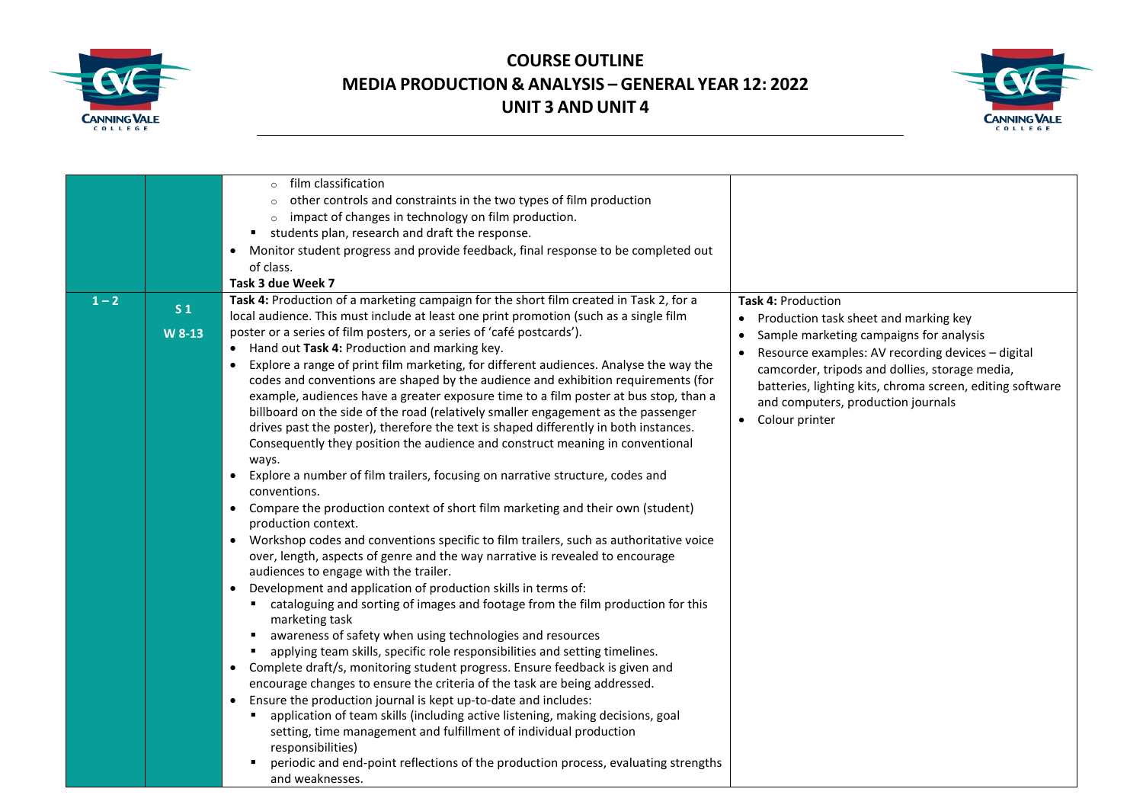



|         |                | film classification<br>$\circ$<br>other controls and constraints in the two types of film production<br>impact of changes in technology on film production.                                                                                                                                                                                                                                             |                                                                                                                                                                                                                                       |
|---------|----------------|---------------------------------------------------------------------------------------------------------------------------------------------------------------------------------------------------------------------------------------------------------------------------------------------------------------------------------------------------------------------------------------------------------|---------------------------------------------------------------------------------------------------------------------------------------------------------------------------------------------------------------------------------------|
|         |                |                                                                                                                                                                                                                                                                                                                                                                                                         |                                                                                                                                                                                                                                       |
|         |                | students plan, research and draft the response.<br>٠                                                                                                                                                                                                                                                                                                                                                    |                                                                                                                                                                                                                                       |
|         |                | Monitor student progress and provide feedback, final response to be completed out<br>$\bullet$                                                                                                                                                                                                                                                                                                          |                                                                                                                                                                                                                                       |
|         |                | of class.                                                                                                                                                                                                                                                                                                                                                                                               |                                                                                                                                                                                                                                       |
|         |                | Task 3 due Week 7                                                                                                                                                                                                                                                                                                                                                                                       |                                                                                                                                                                                                                                       |
| $1 - 2$ | S <sub>1</sub> | Task 4: Production of a marketing campaign for the short film created in Task 2, for a<br>local audience. This must include at least one print promotion (such as a single film                                                                                                                                                                                                                         | <b>Task 4: Production</b><br>Production task sheet and marking key<br>$\bullet$                                                                                                                                                       |
|         | W 8-13         | poster or a series of film posters, or a series of 'café postcards').                                                                                                                                                                                                                                                                                                                                   | Sample marketing campaigns for analysis<br>$\bullet$                                                                                                                                                                                  |
|         |                | Hand out Task 4: Production and marking key.<br>Explore a range of print film marketing, for different audiences. Analyse the way the<br>codes and conventions are shaped by the audience and exhibition requirements (for<br>example, audiences have a greater exposure time to a film poster at bus stop, than a<br>billboard on the side of the road (relatively smaller engagement as the passenger | Resource examples: AV recording devices - digital<br>camcorder, tripods and dollies, storage media,<br>batteries, lighting kits, chroma screen, editing software<br>and computers, production journals<br>Colour printer<br>$\bullet$ |
|         |                | drives past the poster), therefore the text is shaped differently in both instances.<br>Consequently they position the audience and construct meaning in conventional<br>ways.<br>Explore a number of film trailers, focusing on narrative structure, codes and<br>$\bullet$                                                                                                                            |                                                                                                                                                                                                                                       |
|         |                | conventions.                                                                                                                                                                                                                                                                                                                                                                                            |                                                                                                                                                                                                                                       |
|         |                | Compare the production context of short film marketing and their own (student)<br>$\bullet$<br>production context.                                                                                                                                                                                                                                                                                      |                                                                                                                                                                                                                                       |
|         |                | Workshop codes and conventions specific to film trailers, such as authoritative voice<br>$\bullet$<br>over, length, aspects of genre and the way narrative is revealed to encourage<br>audiences to engage with the trailer.                                                                                                                                                                            |                                                                                                                                                                                                                                       |
|         |                | Development and application of production skills in terms of:<br>$\bullet$<br>cataloguing and sorting of images and footage from the film production for this<br>$\blacksquare$<br>marketing task                                                                                                                                                                                                       |                                                                                                                                                                                                                                       |
|         |                | awareness of safety when using technologies and resources<br>٠                                                                                                                                                                                                                                                                                                                                          |                                                                                                                                                                                                                                       |
|         |                | applying team skills, specific role responsibilities and setting timelines.                                                                                                                                                                                                                                                                                                                             |                                                                                                                                                                                                                                       |
|         |                | Complete draft/s, monitoring student progress. Ensure feedback is given and<br>$\bullet$                                                                                                                                                                                                                                                                                                                |                                                                                                                                                                                                                                       |
|         |                | encourage changes to ensure the criteria of the task are being addressed.                                                                                                                                                                                                                                                                                                                               |                                                                                                                                                                                                                                       |
|         |                | Ensure the production journal is kept up-to-date and includes:<br>$\bullet$                                                                                                                                                                                                                                                                                                                             |                                                                                                                                                                                                                                       |
|         |                | application of team skills (including active listening, making decisions, goal                                                                                                                                                                                                                                                                                                                          |                                                                                                                                                                                                                                       |
|         |                | setting, time management and fulfillment of individual production                                                                                                                                                                                                                                                                                                                                       |                                                                                                                                                                                                                                       |
|         |                | responsibilities)                                                                                                                                                                                                                                                                                                                                                                                       |                                                                                                                                                                                                                                       |
|         |                | periodic and end-point reflections of the production process, evaluating strengths<br>and weaknesses.                                                                                                                                                                                                                                                                                                   |                                                                                                                                                                                                                                       |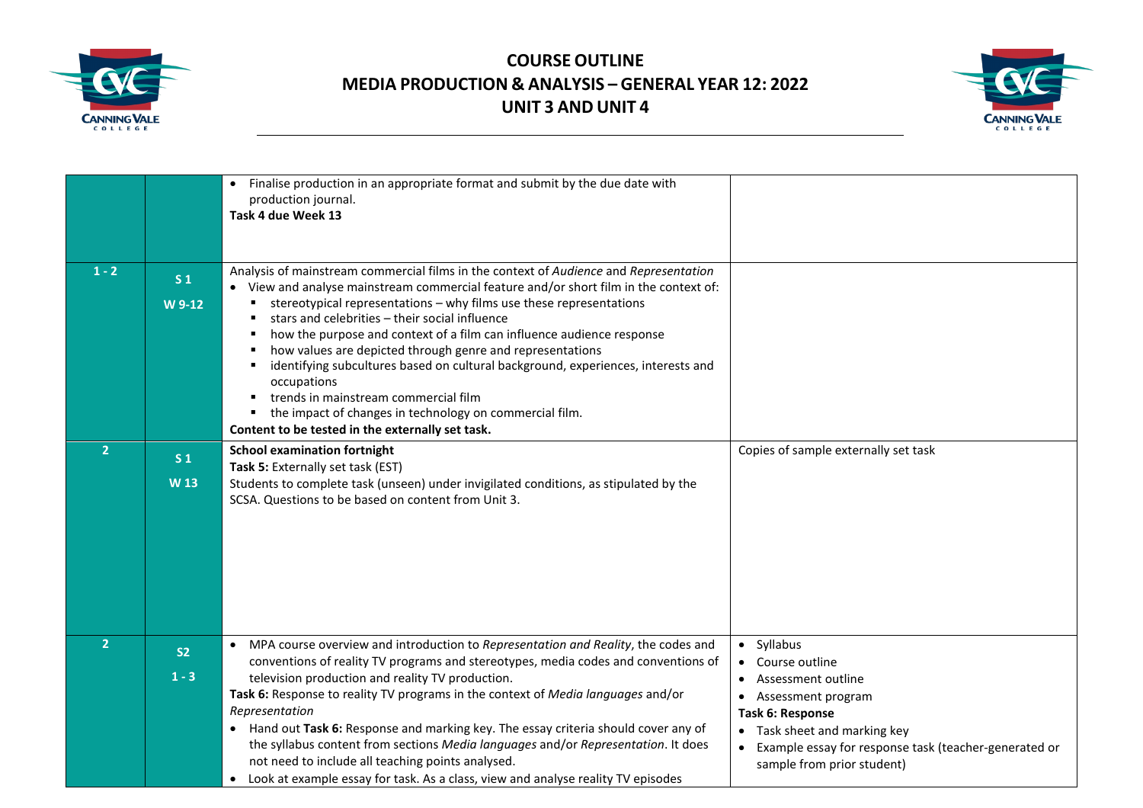



|                |                                   | Finalise production in an appropriate format and submit by the due date with<br>$\bullet$<br>production journal.<br>Task 4 due Week 13                                                                                                                                                                                                                                                                                                                                                                                                                                                                                                                                                                  |                                                                                                                                                                                                                                                                     |
|----------------|-----------------------------------|---------------------------------------------------------------------------------------------------------------------------------------------------------------------------------------------------------------------------------------------------------------------------------------------------------------------------------------------------------------------------------------------------------------------------------------------------------------------------------------------------------------------------------------------------------------------------------------------------------------------------------------------------------------------------------------------------------|---------------------------------------------------------------------------------------------------------------------------------------------------------------------------------------------------------------------------------------------------------------------|
| $1 - 2$        | S <sub>1</sub><br>W 9-12          | Analysis of mainstream commercial films in the context of Audience and Representation<br>• View and analyse mainstream commercial feature and/or short film in the context of:<br>stereotypical representations - why films use these representations<br>stars and celebrities - their social influence<br>how the purpose and context of a film can influence audience response<br>how values are depicted through genre and representations<br>identifying subcultures based on cultural background, experiences, interests and<br>occupations<br>trends in mainstream commercial film<br>the impact of changes in technology on commercial film.<br>Content to be tested in the externally set task. |                                                                                                                                                                                                                                                                     |
| $\overline{2}$ | S <sub>1</sub><br>W <sub>13</sub> | <b>School examination fortnight</b><br>Task 5: Externally set task (EST)<br>Students to complete task (unseen) under invigilated conditions, as stipulated by the<br>SCSA. Questions to be based on content from Unit 3.                                                                                                                                                                                                                                                                                                                                                                                                                                                                                | Copies of sample externally set task                                                                                                                                                                                                                                |
| $\overline{2}$ | S <sub>2</sub><br>$1 - 3$         | MPA course overview and introduction to Representation and Reality, the codes and<br>$\bullet$<br>conventions of reality TV programs and stereotypes, media codes and conventions of<br>television production and reality TV production.<br>Task 6: Response to reality TV programs in the context of Media languages and/or<br>Representation<br>Hand out Task 6: Response and marking key. The essay criteria should cover any of<br>$\bullet$<br>the syllabus content from sections Media languages and/or Representation. It does<br>not need to include all teaching points analysed.<br>• Look at example essay for task. As a class, view and analyse reality TV episodes                        | Syllabus<br>$\bullet$<br>Course outline<br>Assessment outline<br>$\bullet$<br>Assessment program<br>Task 6: Response<br>Task sheet and marking key<br>$\bullet$<br>Example essay for response task (teacher-generated or<br>$\bullet$<br>sample from prior student) |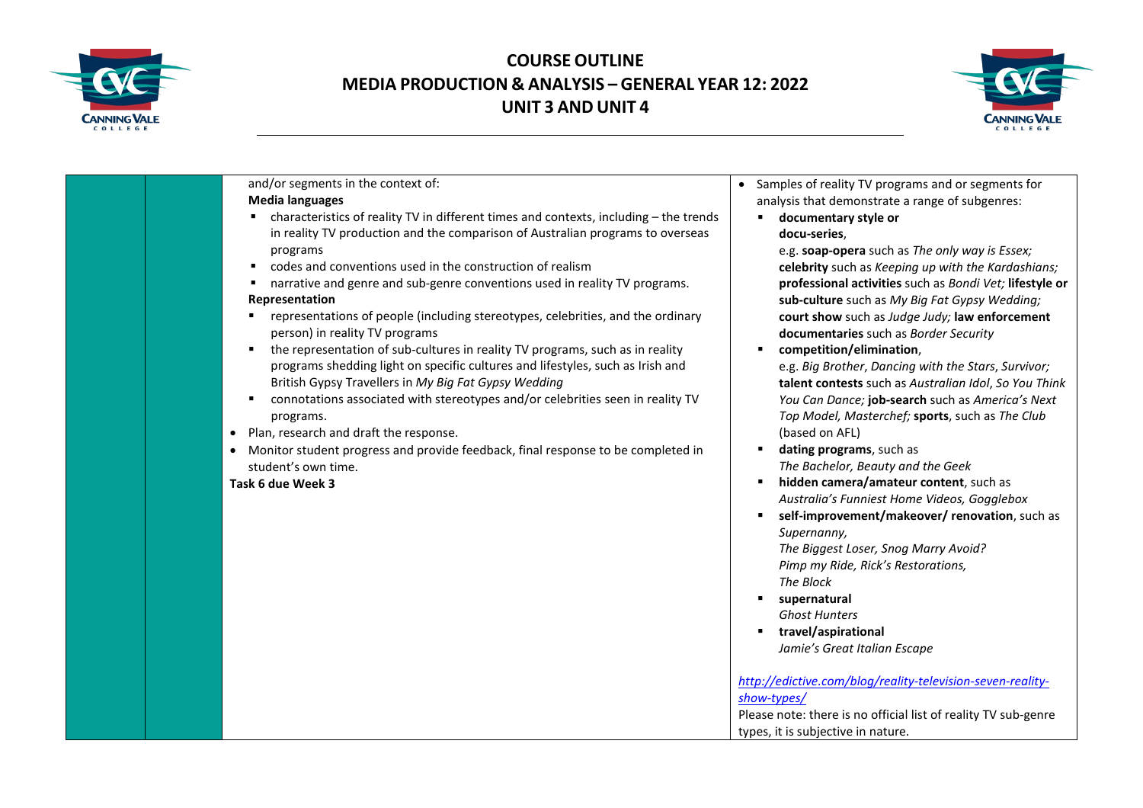



and/or segments in the context of: **Media languages** characteristics of reality TV in different times and contexts, including – the trends in reality TV production and the comparison of Australian programs to overseas programs codes and conventions used in the construction of realism narrative and genre and sub-genre conventions used in reality TV programs. **Representation** representations of people (including stereotypes, celebrities, and the ordinary person) in reality TV programs the representation of sub-cultures in reality TV programs, such as in reality programs shedding light on specific cultures and lifestyles, such as Irish and British Gypsy Travellers in *My Big Fat Gypsy Wedding* connotations associated with stereotypes and/or celebrities seen in reality TV programs. • Plan, research and draft the response. • Monitor student progress and provide feedback, final response to be completed in student's own time. **Task 6 due Week 3** • Samples of reality TV programs and or segments for analysis that demonstrate a range of subgenres: **documentary style or docu-series**, e.g. **soap-opera** such as *The only way is Essex;*  **celebrity** such as *Keeping up with the Kardashians;*  **professional activities** such as *Bondi Vet;* **lifestyle or sub-culture** such as *My Big Fat Gypsy Wedding;*  **court show** such as *Judge Judy;* **law enforcement documentaries** such as *Border Security* **competition/elimination**, e.g. *Big Brother*, *Dancing with the Stars*, *Survivor;*  **talent contests** such as *Australian Idol*, *So You Think You Can Dance;* **job-search** such as *America's Next Top Model, Masterchef;* **sports**, such as *The Club*  (based on AFL) **dating programs**, such as *The Bachelor, Beauty and the Geek* **hidden camera/amateur content**, such as *Australia's Funniest Home Videos, Gogglebox* **self-improvement/makeover/ renovation**, such as *Supernanny, The Biggest Loser, Snog Marry Avoid? Pimp my Ride, Rick's Restorations, The Block*  **supernatural** *Ghost Hunters*  **travel/aspirational**  *Jamie's Great Italian Escape [http://edictive.com/blog/reality-television-seven-reality](http://edictive.com/blog/reality-television-seven-reality-show-types/)[show-types/](http://edictive.com/blog/reality-television-seven-reality-show-types/)* Please note: there is no official list of reality TV sub-genre types, it is subjective in nature.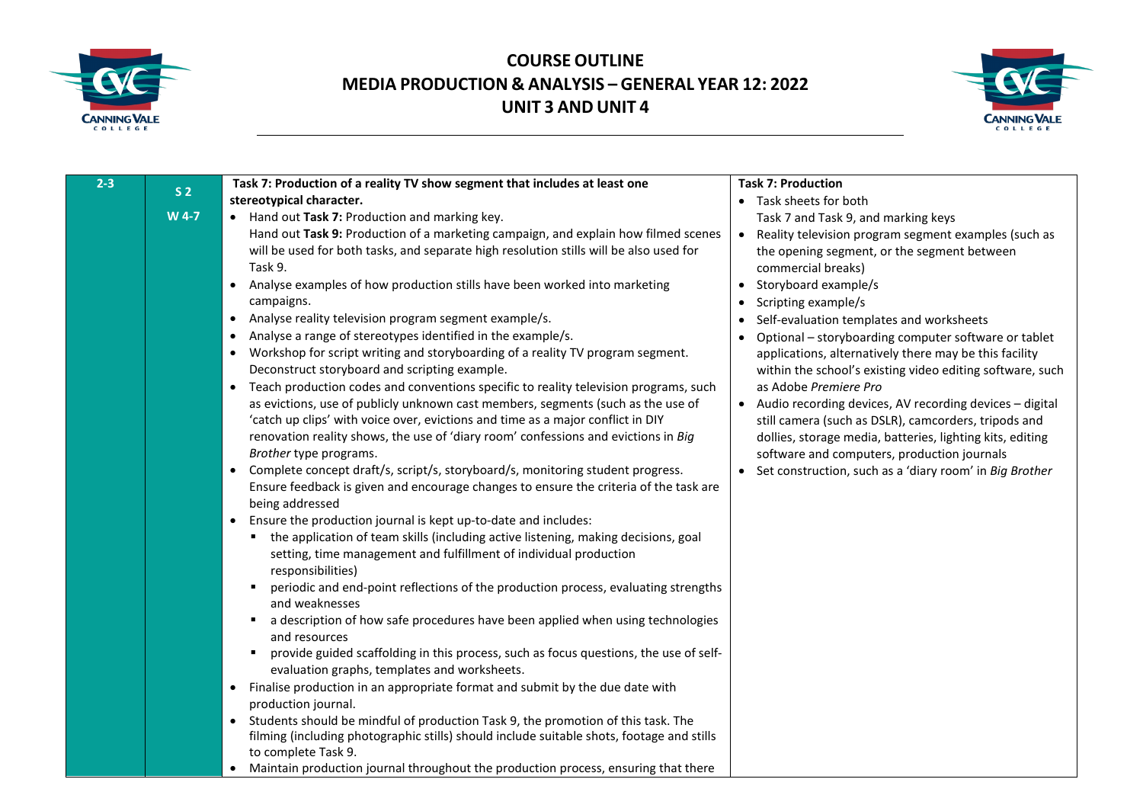



| $2 - 3$ |                         | Task 7: Production of a reality TV show segment that includes at least one                                                                                                                                                                                                                                                                                                                                                                                                                                                                                                                                                                                                                                                                                                                                                                                                                                                                                                                                                                                                                                                                                                                                                                                                                                                                                                                                                                                                                                                                                                                                                                                                                                   | <b>Task 7: Production</b>                                                                                                                                                                                                                                                                                                                                                                                                                                                                                                                                                                                                                                                                                                                                                                            |
|---------|-------------------------|--------------------------------------------------------------------------------------------------------------------------------------------------------------------------------------------------------------------------------------------------------------------------------------------------------------------------------------------------------------------------------------------------------------------------------------------------------------------------------------------------------------------------------------------------------------------------------------------------------------------------------------------------------------------------------------------------------------------------------------------------------------------------------------------------------------------------------------------------------------------------------------------------------------------------------------------------------------------------------------------------------------------------------------------------------------------------------------------------------------------------------------------------------------------------------------------------------------------------------------------------------------------------------------------------------------------------------------------------------------------------------------------------------------------------------------------------------------------------------------------------------------------------------------------------------------------------------------------------------------------------------------------------------------------------------------------------------------|------------------------------------------------------------------------------------------------------------------------------------------------------------------------------------------------------------------------------------------------------------------------------------------------------------------------------------------------------------------------------------------------------------------------------------------------------------------------------------------------------------------------------------------------------------------------------------------------------------------------------------------------------------------------------------------------------------------------------------------------------------------------------------------------------|
|         |                         | stereotypical character.                                                                                                                                                                                                                                                                                                                                                                                                                                                                                                                                                                                                                                                                                                                                                                                                                                                                                                                                                                                                                                                                                                                                                                                                                                                                                                                                                                                                                                                                                                                                                                                                                                                                                     | • Task sheets for both                                                                                                                                                                                                                                                                                                                                                                                                                                                                                                                                                                                                                                                                                                                                                                               |
|         | S <sub>2</sub><br>W 4-7 | • Hand out Task 7: Production and marking key.<br>Hand out Task 9: Production of a marketing campaign, and explain how filmed scenes<br>will be used for both tasks, and separate high resolution stills will be also used for<br>Task 9.<br>• Analyse examples of how production stills have been worked into marketing<br>campaigns.<br>Analyse reality television program segment example/s.<br>$\bullet$<br>Analyse a range of stereotypes identified in the example/s.<br>Workshop for script writing and storyboarding of a reality TV program segment.<br>Deconstruct storyboard and scripting example.<br>Teach production codes and conventions specific to reality television programs, such<br>$\bullet$<br>as evictions, use of publicly unknown cast members, segments (such as the use of<br>'catch up clips' with voice over, evictions and time as a major conflict in DIY<br>renovation reality shows, the use of 'diary room' confessions and evictions in Big<br>Brother type programs.<br>• Complete concept draft/s, script/s, storyboard/s, monitoring student progress.<br>Ensure feedback is given and encourage changes to ensure the criteria of the task are<br>being addressed<br>Ensure the production journal is kept up-to-date and includes:<br>$\bullet$<br>the application of team skills (including active listening, making decisions, goal<br>٠<br>setting, time management and fulfillment of individual production<br>responsibilities)<br>periodic and end-point reflections of the production process, evaluating strengths<br>$\blacksquare$<br>and weaknesses<br>a description of how safe procedures have been applied when using technologies<br>$\blacksquare$ | Task 7 and Task 9, and marking keys<br>Reality television program segment examples (such as<br>$\bullet$<br>the opening segment, or the segment between<br>commercial breaks)<br>Storyboard example/s<br>Scripting example/s<br>Self-evaluation templates and worksheets<br>$\bullet$<br>Optional - storyboarding computer software or tablet<br>$\bullet$<br>applications, alternatively there may be this facility<br>within the school's existing video editing software, such<br>as Adobe Premiere Pro<br>Audio recording devices, AV recording devices - digital<br>still camera (such as DSLR), camcorders, tripods and<br>dollies, storage media, batteries, lighting kits, editing<br>software and computers, production journals<br>Set construction, such as a 'diary room' in Big Brother |
|         |                         | and resources<br>provide guided scaffolding in this process, such as focus questions, the use of self-<br>п                                                                                                                                                                                                                                                                                                                                                                                                                                                                                                                                                                                                                                                                                                                                                                                                                                                                                                                                                                                                                                                                                                                                                                                                                                                                                                                                                                                                                                                                                                                                                                                                  |                                                                                                                                                                                                                                                                                                                                                                                                                                                                                                                                                                                                                                                                                                                                                                                                      |
|         |                         | evaluation graphs, templates and worksheets.<br>Finalise production in an appropriate format and submit by the due date with<br>$\bullet$<br>production journal.<br>Students should be mindful of production Task 9, the promotion of this task. The<br>$\bullet$<br>filming (including photographic stills) should include suitable shots, footage and stills                                                                                                                                                                                                                                                                                                                                                                                                                                                                                                                                                                                                                                                                                                                                                                                                                                                                                                                                                                                                                                                                                                                                                                                                                                                                                                                                               |                                                                                                                                                                                                                                                                                                                                                                                                                                                                                                                                                                                                                                                                                                                                                                                                      |
|         |                         | to complete Task 9.<br>Maintain production journal throughout the production process, ensuring that there                                                                                                                                                                                                                                                                                                                                                                                                                                                                                                                                                                                                                                                                                                                                                                                                                                                                                                                                                                                                                                                                                                                                                                                                                                                                                                                                                                                                                                                                                                                                                                                                    |                                                                                                                                                                                                                                                                                                                                                                                                                                                                                                                                                                                                                                                                                                                                                                                                      |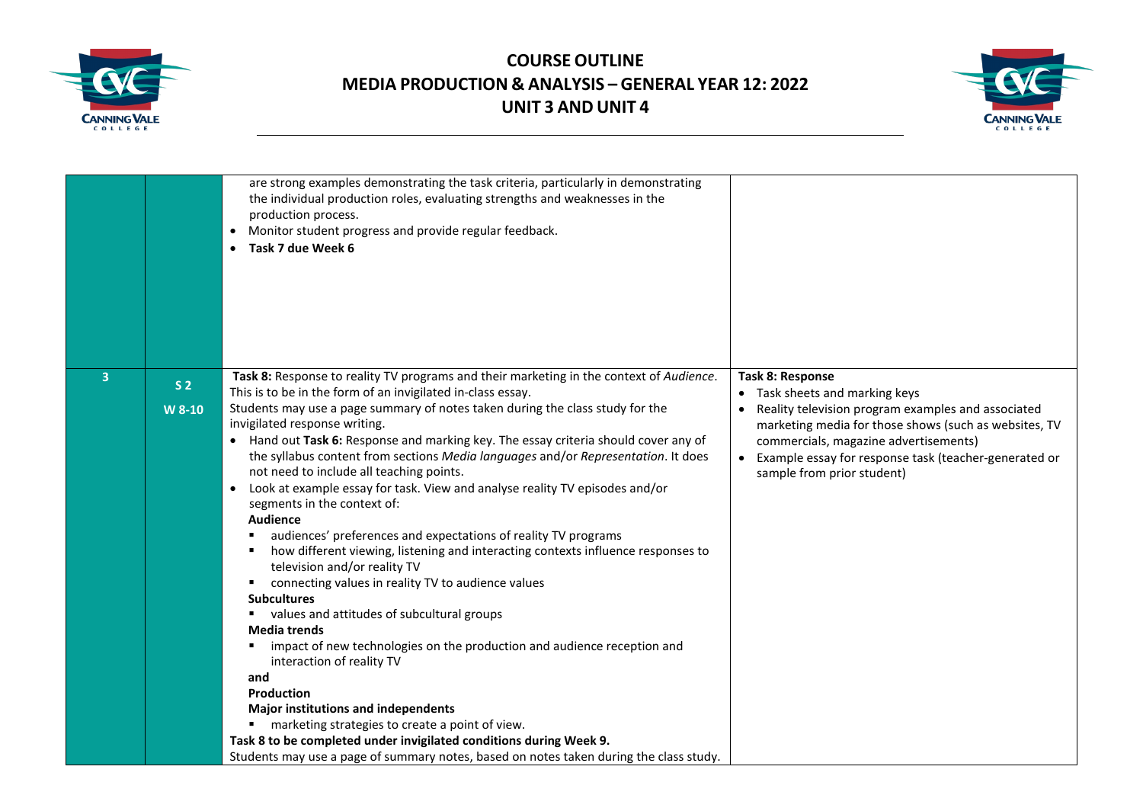



|   |                | are strong examples demonstrating the task criteria, particularly in demonstrating<br>the individual production roles, evaluating strengths and weaknesses in the<br>production process.<br>Monitor student progress and provide regular feedback.<br>$\bullet$<br>• Task 7 due Week 6                                                                                                                                                                                                                                                                                                                                                                                                                                                                                                                                                                                                                                                                                     |                                                                                                                                                                                                                                                                               |
|---|----------------|----------------------------------------------------------------------------------------------------------------------------------------------------------------------------------------------------------------------------------------------------------------------------------------------------------------------------------------------------------------------------------------------------------------------------------------------------------------------------------------------------------------------------------------------------------------------------------------------------------------------------------------------------------------------------------------------------------------------------------------------------------------------------------------------------------------------------------------------------------------------------------------------------------------------------------------------------------------------------|-------------------------------------------------------------------------------------------------------------------------------------------------------------------------------------------------------------------------------------------------------------------------------|
|   |                |                                                                                                                                                                                                                                                                                                                                                                                                                                                                                                                                                                                                                                                                                                                                                                                                                                                                                                                                                                            |                                                                                                                                                                                                                                                                               |
| 3 | S <sub>2</sub> | Task 8: Response to reality TV programs and their marketing in the context of Audience.                                                                                                                                                                                                                                                                                                                                                                                                                                                                                                                                                                                                                                                                                                                                                                                                                                                                                    | Task 8: Response                                                                                                                                                                                                                                                              |
|   | W 8-10         | This is to be in the form of an invigilated in-class essay.<br>Students may use a page summary of notes taken during the class study for the<br>invigilated response writing.<br>• Hand out Task 6: Response and marking key. The essay criteria should cover any of<br>the syllabus content from sections Media languages and/or Representation. It does<br>not need to include all teaching points.<br>Look at example essay for task. View and analyse reality TV episodes and/or<br>$\bullet$<br>segments in the context of:<br><b>Audience</b><br>audiences' preferences and expectations of reality TV programs<br>how different viewing, listening and interacting contexts influence responses to<br>television and/or reality TV<br>connecting values in reality TV to audience values<br>٠<br><b>Subcultures</b><br>values and attitudes of subcultural groups<br><b>Media trends</b><br>impact of new technologies on the production and audience reception and | • Task sheets and marking keys<br>Reality television program examples and associated<br>marketing media for those shows (such as websites, TV<br>commercials, magazine advertisements)<br>Example essay for response task (teacher-generated or<br>sample from prior student) |
|   |                | interaction of reality TV<br>and<br><b>Production</b>                                                                                                                                                                                                                                                                                                                                                                                                                                                                                                                                                                                                                                                                                                                                                                                                                                                                                                                      |                                                                                                                                                                                                                                                                               |
|   |                | <b>Major institutions and independents</b><br>marketing strategies to create a point of view.<br>٠                                                                                                                                                                                                                                                                                                                                                                                                                                                                                                                                                                                                                                                                                                                                                                                                                                                                         |                                                                                                                                                                                                                                                                               |
|   |                | Task 8 to be completed under invigilated conditions during Week 9.                                                                                                                                                                                                                                                                                                                                                                                                                                                                                                                                                                                                                                                                                                                                                                                                                                                                                                         |                                                                                                                                                                                                                                                                               |
|   |                | Students may use a page of summary notes, based on notes taken during the class study.                                                                                                                                                                                                                                                                                                                                                                                                                                                                                                                                                                                                                                                                                                                                                                                                                                                                                     |                                                                                                                                                                                                                                                                               |